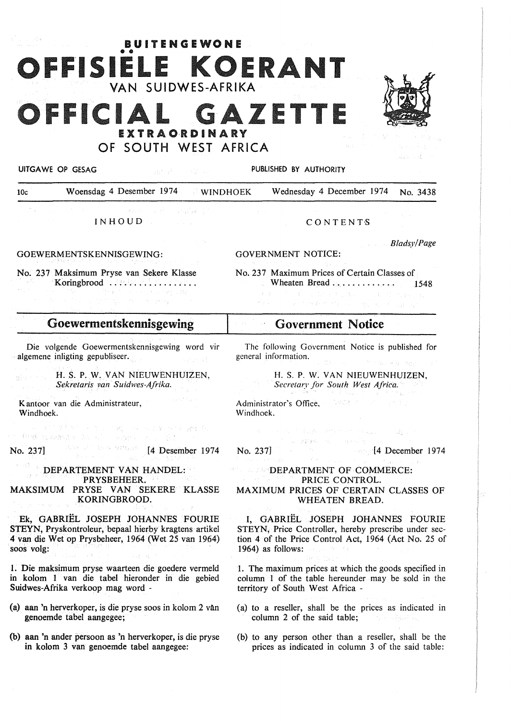# OFFISIELE KOERANT VAN SUIDWES-AFRIKA FFICIAL GAZETT EXTRAORDINARY OF SOUTH WEST AFRICA

**BUITENGEWONE** 



UITGAWE OP GESAG PUBLISHED BY AUTHORITY

10c Woensdag 4 Desember 1974 WINDHOEK Wednesday 4 December 1974 No. 3438

Candida Romanilla INHOUD

#### GOEWERMENTSKENNISGEWING:

No. 237 Maksimum Pryse van Sekere Klasse Koringbrood ................. .

## Goewermentskennisgewing

Die volgende Goewermentskennisgewing word vir algemene inligting gepubliseer.

#### H. S. P. W. VAN NIEUWENHUJZEN, *Sekretaris van Suidwes-Afrika.*

Kantoor van die Administrateur, Windhoek.

 $\label{eq:2.1} \begin{split} \frac{1}{\sqrt{2}}\left[\frac{1}{\sqrt{2}}\left(\frac{1}{2}\left(1+\frac{1}{2}\right)\right)\left(\frac{1}{2}\left(1+\frac{1}{2}\right)\right)\left(\frac{1}{2}\left(1+\frac{1}{2}\right)\right)\left(\frac{1}{2}\left(1+\frac{1}{2}\right)\right)\left(\frac{1}{2}\left(1+\frac{1}{2}\right)\right)\left(\frac{1}{2}\left(1+\frac{1}{2}\right)\right)\left(\frac{1}{2}\left(1+\frac{1}{2}\right)\right)\left(\frac{1}{2}\left(1+\frac{1}{2}\right)\right)\left(\frac{1}{2$ 

No. 237] **[4 Desember 1974** 

#### DEPARTEMENT VAN HANDEL: PRYSBEHEER. MAKSIMUM PRYSE VAN SEKERE KLASSE KORINGBROOD.

Ek, GABRIEL JOSEPH JOHANNES FOURIE STEYN, Pryskontroleur, bepaal hierby kragtens artikel 4 van die Wet op Prysbeheer, 1964 (Wet 25 van 1964) soos volg:

1. Die maksimum pryse waarteen die goedere vermeld in kolom 1 van die tabel hieronder in die gebied Suidwes-Afrika verkoop mag word -

- (a) aan 'n herverkoper, is die pryse soos in kolom 2 vAn genoemde tabel aangegee;
- (b) aan 'n ander persoon as 'n herverkoper, is die pryse in kolom 3 van genoemde tabel aangegee:

#### **CONTENTS**

*Bladsy/Page* 

GOVERNMENT NOTICE:

No. 237 Maximum Prices of Certain Classes of Wheaten Bread.. . . . . . . . . . . . 1548  $\label{eq:triv} \mathcal{L}(A) = \mathcal{L}(A) + \mathcal{L}(-1,1,1,1) + \mathcal{L}(-1,2,1,1)$ 

## **· Government Notice**

The following Government Notice is published for general information.

H. S. P. W. VAN NIEUWENHUIZEN, *Secretary for South West Africa.* 

Administrator's Office, a sensor and the state Windhoek.

 $\label{eq:3.1} \left\langle \phi_{\theta} \right\rangle = \mathcal{F}_{\theta}^{\mathcal{A}} \mathcal{F}_{\theta}^{\mathcal{A}} \mathcal{F}_{\theta}^{\mathcal{A}} \qquad \left\langle \phi_{\theta} \right\rangle = \left\langle \phi_{\theta} \right\rangle \left\langle \phi_{\theta} \right\rangle \left\langle \phi_{\theta} \right\rangle$ No. 237] No. 237]

**Salgar** 

#### **COMMERCE:** DEPARTMENT OF COMMERCE: PRICE CONTROL. **MAXIMUM** PRICES OF CERTAIN CLASSES OF WHEATEN BREAD.

I, GABRIEL JOSEPH JOHANNES FOURIE STEYN, Price Controller, hereby prescribe under section 4 of the Price Control Act, 1964 (Act No. 25 of 1964) as follows:

I. The maximum prices at which the goods specified in column 1 of the table hereunder may be sold in the territory of South West Africa -

- (a) to a reseller, shall be the prices as indicated in column 2 of the said table; **Experience**
- (b) to any person other than a reseller, shall be the prices as indicated in column 3 of the said table: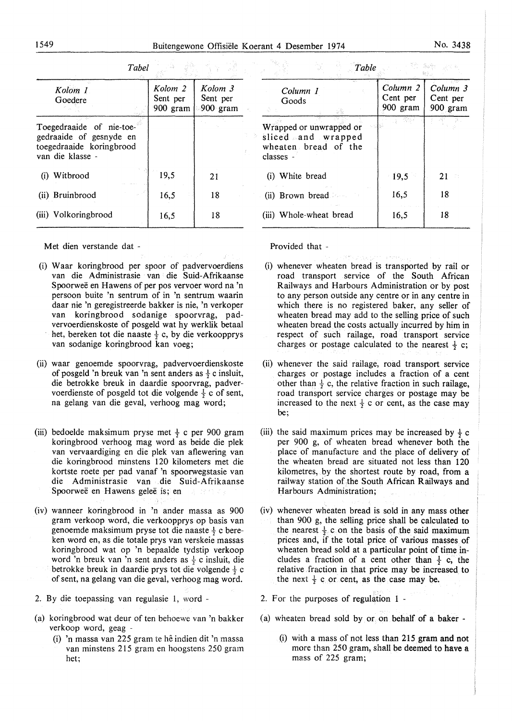| Kolom 1<br>Goedere                                                                                  | Kolom 2<br>Sent per<br>900 gram | Kolom 3<br>Sent per<br>$900$ gram |  |
|-----------------------------------------------------------------------------------------------------|---------------------------------|-----------------------------------|--|
| Toegedraaide of nie-toe-<br>gedraaide of gesnyde en<br>toegedraaide koringbrood<br>van die klasse - |                                 |                                   |  |
| (i) Witbrood                                                                                        | 19,5                            | 21                                |  |
| (ii) Bruinbrood                                                                                     | 16,5                            | 18                                |  |
| (iii) Volkoringbrood                                                                                | 16,5                            | 18                                |  |

*Tabet* 

|                         |  | Table |                                               |                      |  |
|-------------------------|--|-------|-----------------------------------------------|----------------------|--|
| Column 1<br>Goods       |  |       | Column 2   Column 3<br>Cent per<br>$900$ gram | Cent per<br>900 gram |  |
| Wrapped or unwrapped or |  |       |                                               |                      |  |

| wrapped or unwrapped or<br>sliced and wrapped<br>wheaten bread of the<br>classes - |      |    |  |
|------------------------------------------------------------------------------------|------|----|--|
| (i) White bread                                                                    | 19,5 | 21 |  |
| (ii) Brown bread                                                                   | 16,5 | 18 |  |
| (iii) Whole-wheat bread                                                            | 16,5 | 18 |  |

Met dien verstande dat -

- (i) W aar koringbrood per spoor of padvervoerdiens van die Administrasie van die Suid-Afrikaanse Spoorweë en Hawens of per pos vervoer word na 'n persoon buite 'n sentrum of in 'n sentrum waarin daar nie 'n geregistreerde bakker is nie, 'n verkoper van koringbrood sodanige spoorvrag, padvervoerdienskoste of posgeld wat hy werklik betaal het, bereken tot die naaste  $\frac{1}{6}$  c, by die verkoopprys van sodanige koringbrood kan voeg;
- (ii) waar genoemde spoorvrag, padvervoerdienskoste of posgeld 'n breuk van 'n sent anders as  $\frac{1}{2}$  c insluit, die betrokke breuk in daardie spoorvrag, padvervoerdienste of posgeld tot die volgende  $\frac{1}{2}$  c of sent, na gelang van die geval, verhoog mag word;
- (iii) bedoelde maksimum pryse met  $\frac{1}{2}$  c per 900 gram koringbrood verhoog mag word as beide die plek van vervaardiging en die plek van aflewering van die koringbrood minstens 120 kilometers met die kortste roete per pad vanaf 'n spoorwegstasie van die Administrasie van die Suid-Afrikaanse Spoorweë en Hawens geleë is; en
- (iv) wanneer koringbrood in 'n ander massa as 900 gram verkoop word, die verkoopprys op basis van genoemde maksimum pryse tot die naaste  $\frac{1}{2}$  c bereken word en, as die totale prys van verskeie massas koringbrood wat op 'n bepaalde tydstip verkoop word 'n breuk van 'n sent anders as  $\frac{1}{2}$  c insluit, die betrokke breuk in daardie prys tot die volgende  $\frac{1}{2}$  c of sent, na gelang van die geval, verhoog mag word.
- 2. By die toepassing van regulasie 1, word -
- (a) koringbrood wat deur of ten behoewe van 'n bakker verkoop word, geag -
	- (i) 'n massa van 225 gram te he indien dit 'n massa van minstens 215 gram en hoogstens 250 gram het;

Provided that -

(i) whenever wheaten bread is transported by rail or road transport service of the South African Railways and Harbours Administration or by post to any person outside any centre or in any centre in which there is no registered baker, any seller of wheaten bread may add to the selling price of such wheaten bread the costs actually incurred by him in respect of such railage, road transport service charges or postage calculated to the nearest  $\frac{1}{2}$  c;

With Joyce State Entrances

- (ii) whenever the said railage, road transport service charges or postage includes a fraction of a cent other than  $\frac{1}{2}$  c, the relative fraction in such railage, road transport service charges or postage may be increased to the next  $\frac{1}{2}$  c or cent, as the case may be;
- (iii) the said maximum prices may be increased by  $\frac{1}{2}$  c per 900 g, of wheaten bread whenever both the place of manufacture and the place of delivery of the wheaten bread are situated not less than 120 kilometres, by the shortest route by road, from a railway station of the South African Railways and Harbours Administration;
- (iv) whenever wheaten bread is sold in any mass other than 900 g, the selling price shall be calculated to the nearest  $\frac{1}{2}$  c on the basis of the said maximum prices and, if the total price of various masses of wheaten bread sold at a particular point of time includes a fraction of a cent other than  $\frac{1}{2}$  c, the relative fraction in that price may be increased to the next  $\frac{1}{2}$  c or cent, as the case may be.
- 2. For the purposes of regulation 1 -
- (a) wheaten bread sold by  $or$  on behalf of a baker -
	- (i) with a mass of not less than 215 gram and not more than 250 gram, shall be deemed to have a mass of 225 gram;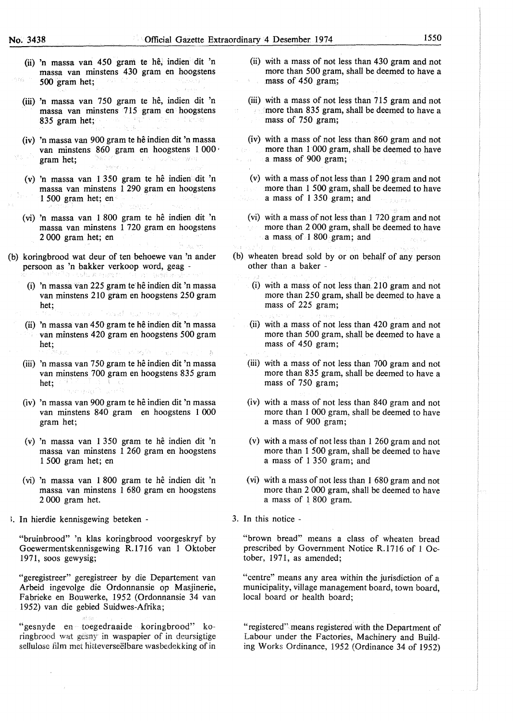- (ii) 'n massa van 450 gram te hê, indien dit 'n massa van minstens 430 gram en hoogstens 500 gram het: 500 gram het; miljese, tig
- (iii) 'n massa van 750 gram te hê, indien dit 'n massa van minstens 715 gram en hoogstens<br>835 gram het;<br>en hoogste belangram en hoogstens 835 gram het;
- (iv) 'n massa van 900 gram te he indien dit 'n massa van minstens 860 gram en hoogstens 1 000 ·<br>gram het; gram het;
- (v) 'n massa van 1 350 gram te hê indien dit 'n massa van minstens 1 290 gram en hoogstens 1 500 gram het; en
- (vi) 'n massa van 1 800 gram te he indien dit 'n massa van minstens 1 720 gram en hoogstens 2 000 gram het; en
- (b) koringbrood wat deur of ten behoewe van 'n ander persoon as 'n bakker verkoop word, geag -
	- (i) 'n massa van 225 gram te he indien dit 'n massa van minstens 210 gram en hoogstens 250 gram het; as na Tead native ser
	- (ii) 'n massa van 450 gram te he indien dit 'n massa van minstens 420 gram en hoogstens 500 gram het;
	- (iii) 'n massa van 750 gram te he indien dit 'n massa van minstens 700 gram en hoogstens 835 gram het; **in the first of the state of the state of the state of the state of the state of the state of the state of the state of the state of the state of the state of the state of the state of the state of the state of the s** men pagi
	- (iv) 'n massa van 900 gram te he indien dit 'n massa van minstens 840 gram en hoogstens 1 000 gram het;
	- (v) 'n massa van 1 350 gram te he indien dit 'n massa van minstens 1 260 gram en hoogstens 1 500 gram het; en
	- ( vi) 'n massa van 1 800 gram te he indien dit 'n massa van minstens 1 680 gram en hoogstens 2 000 gram het.
- I. In hierdie kennisgewing beteken -

"bruinbrood" 'n klas koringbrood voorgeskryf by Goewermentskennisgewing R.1716 van 1 Oktober 1971, SOOS gewysig;

"geregistreer" geregistreer by die Departement van Arbeid ingevolge die Ordonnansie op Masjinerie, Fabrieke en Bouwerke, 1952 (Ordonnansie 34 van 1952) van die gebied Suidwes-Afrika;

"gesnyde en toegedraaide koringbrood" koringbrood wat gesny in waspapier of in deursigtige sellulose film met hitteverseelbare wasbedekking of in

- (ii) with a mass of not less than 430 gram and not more than 500 gram, shall be deemed to have a mass of 450 gram;
- (iii) with a mass of not less than 715 gram and not more than 835 gram, shall be deemed to have a mass of 750 gram;
- (iv) with a mass of not less than 860 gram and not more than 1 000 gram, shall be deemed to have a mass of 900 gram;  $\omega_{\rm{1}}=\frac{1}{24}$ 
	- (v) with a mass of not less than 1 290 gram and not more than 1 500 gram, shall be deemed to have a mass of 1 350 gram; and
	- (vi) with a mass of not less than 1 720 gram and not more than 2 000 gram, shall be deemed to. have a mass of 1 800 gram; and
- (b) wheaten bread sold by or on behalf of any person other than a baker -
	- (i) with a mass of not less than.210 gram and not more than 250 gram, shall be deemed to have a mass of 225 gram;
	- (ii) with a mass of not less than 420 gram and not more than 500 gram, shall be deemed to have a mass of 450 gram;
	- (iii) with a mass of not less than 700 gram and not more than 835 gram, shall be deemed to have a mass of 750 gram;
	- (iv) with a mass of not less than 840 gram and not more than I 000 gram, shall be deemed to have a mass of 900 gram;
	- (v) with a mass of not less than 1 260 gram and not more than 1 500 gram, shall be deemed to have a mass of 1 350 gram; and
	- (vi) with a mass of not less than 1 680 gram and not more than 2 000 gram, shall be deemed to have a mass of 1 800 gram.
- 3. In this notice -

"brown bread" means a class of wheaten bread prescribed by Government Notice R.1716 of 1 October, 1971, as amended;

"centre" means any area within the jurisdiction of a municipality, village management board, town board, local board or health board;

"registered" means registered with the Department of Labour under the Factories, Machinery and Building Works Ordinance, 1952 (Ordinance 34 of 1952)